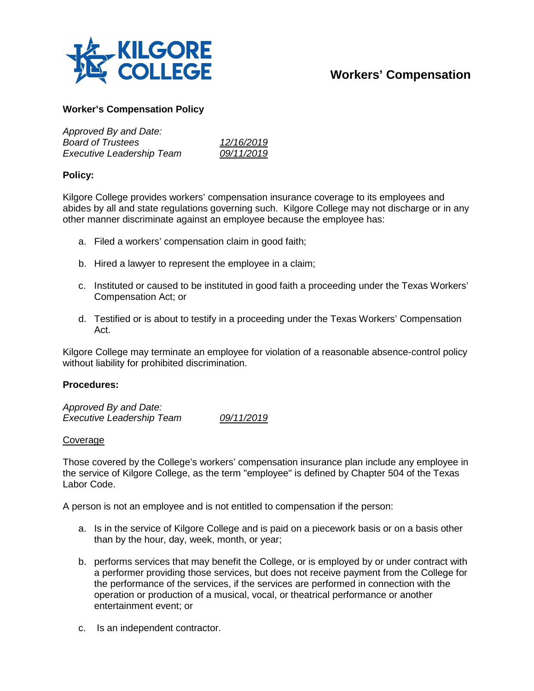

# **Workers' Compensation**

### **Worker's Compensation Policy**

| Approved By and Date:            |            |
|----------------------------------|------------|
| <b>Board of Trustees</b>         | 12/16/2019 |
| <b>Executive Leadership Team</b> | 09/11/2019 |

## **Policy:**

Kilgore College provides workers' compensation insurance coverage to its employees and abides by all and state regulations governing such. Kilgore College may not discharge or in any other manner discriminate against an employee because the employee has:

- a. Filed a workers' compensation claim in good faith;
- b. Hired a lawyer to represent the employee in a claim;
- c. Instituted or caused to be instituted in good faith a proceeding under the Texas Workers' Compensation Act; or
- d. Testified or is about to testify in a proceeding under the Texas Workers' Compensation Act.

Kilgore College may terminate an employee for violation of a reasonable absence-control policy without liability for prohibited discrimination.

#### **Procedures:**

*Approved By and Date: Executive Leadership Team 09/11/2019*

#### Coverage

Those covered by the College's workers' compensation insurance plan include any employee in the service of Kilgore College, as the term "employee" is defined by Chapter 504 of the Texas Labor Code.

A person is not an employee and is not entitled to compensation if the person:

- a. Is in the service of Kilgore College and is paid on a piecework basis or on a basis other than by the hour, day, week, month, or year;
- b. performs services that may benefit the College, or is employed by or under contract with a performer providing those services, but does not receive payment from the College for the performance of the services, if the services are performed in connection with the operation or production of a musical, vocal, or theatrical performance or another entertainment event; or
- c. Is an independent contractor.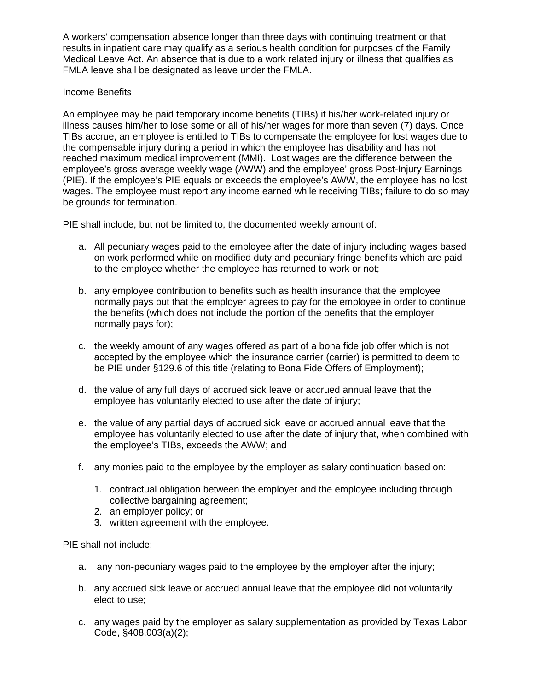A workers' compensation absence longer than three days with continuing treatment or that results in inpatient care may qualify as a serious health condition for purposes of the Family Medical Leave Act. An absence that is due to a work related injury or illness that qualifies as FMLA leave shall be designated as leave under the FMLA.

## Income Benefits

An employee may be paid temporary income benefits (TIBs) if his/her work-related injury or illness causes him/her to lose some or all of his/her wages for more than seven (7) days. Once TIBs accrue, an employee is entitled to TIBs to compensate the employee for lost wages due to the compensable injury during a period in which the employee has disability and has not reached maximum medical improvement (MMI). Lost wages are the difference between the employee's gross average weekly wage (AWW) and the employee' gross Post-Injury Earnings (PIE). If the employee's PIE equals or exceeds the employee's AWW, the employee has no lost wages. The employee must report any income earned while receiving TIBs; failure to do so may be grounds for termination.

PIE shall include, but not be limited to, the documented weekly amount of:

- a. All pecuniary wages paid to the employee after the date of injury including wages based on work performed while on modified duty and pecuniary fringe benefits which are paid to the employee whether the employee has returned to work or not;
- b. any employee contribution to benefits such as health insurance that the employee normally pays but that the employer agrees to pay for the employee in order to continue the benefits (which does not include the portion of the benefits that the employer normally pays for);
- c. the weekly amount of any wages offered as part of a bona fide job offer which is not accepted by the employee which the insurance carrier (carrier) is permitted to deem to be PIE under §129.6 of this title (relating to Bona Fide Offers of Employment);
- d. the value of any full days of accrued sick leave or accrued annual leave that the employee has voluntarily elected to use after the date of injury;
- e. the value of any partial days of accrued sick leave or accrued annual leave that the employee has voluntarily elected to use after the date of injury that, when combined with the employee's TIBs, exceeds the AWW; and
- f. any monies paid to the employee by the employer as salary continuation based on:
	- 1. contractual obligation between the employer and the employee including through collective bargaining agreement;
	- 2. an employer policy; or
	- 3. written agreement with the employee.

PIE shall not include:

- a. any non-pecuniary wages paid to the employee by the employer after the injury;
- b. any accrued sick leave or accrued annual leave that the employee did not voluntarily elect to use;
- c. any wages paid by the employer as salary supplementation as provided by Texas Labor Code, §408.003(a)(2);